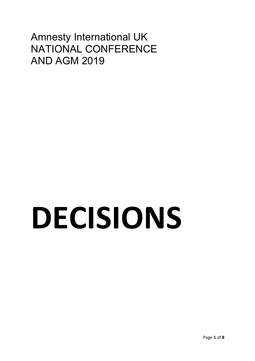### Amnesty International UK NATIONAL CONFERENCE AND AGM 2019

# **DECISIONS**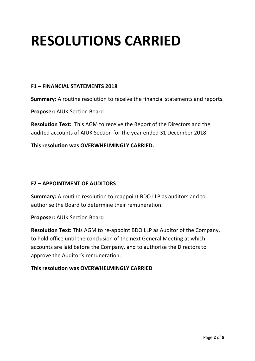## **RESOLUTIONS CARRIED**

#### **F1 – FINANCIAL STATEMENTS 2018**

**Summary:** A routine resolution to receive the financial statements and reports.

**Proposer:** AIUK Section Board

**Resolution Text:** This AGM to receive the Report of the Directors and the audited accounts of AIUK Section for the year ended 31 December 2018.

**This resolution was OVERWHELMINGLY CARRIED.** 

#### **F2 – APPOINTMENT OF AUDITORS**

**Summary:** A routine resolution to reappoint BDO LLP as auditors and to authorise the Board to determine their remuneration.

**Proposer:** AIUK Section Board

**Resolution Text:** This AGM to re-appoint BDO LLP as Auditor of the Company, to hold office until the conclusion of the next General Meeting at which accounts are laid before the Company, and to authorise the Directors to approve the Auditor's remuneration.

#### **This resolution was OVERWHELMINGLY CARRIED**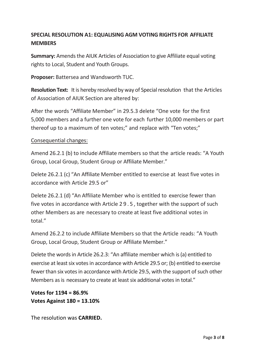#### **SPECIAL RESOLUTION A1: EQUALISING AGM VOTING RIGHTS FOR AFFILIATE MEMBERS**

**Summary:** Amends the AIUK Articles of Association to give Affiliate equal voting rights to Local, Student and Youth Groups.

**Proposer:** Battersea and Wandsworth TUC.

**Resolution Text:** It is hereby resolved by way of Special resolution that the Articles of Association of AIUK Section are altered by:

After the words "Affiliate Member" in 29.5.3 delete "One vote for the first 5,000 members and a further one vote for each further 10,000 members or part thereof up to a maximum of ten votes;" and replace with "Ten votes;"

#### Consequential changes:

Amend 26.2.1 (b) to include Affiliate members so that the article reads: "A Youth Group, Local Group, Student Group or Affiliate Member."

Delete 26.2.1 (c) "An Affiliate Member entitled to exercise at least five votes in accordance with Article 29.5 or"

Delete 26.2.1 (d) "An Affiliate Member who is entitled to exercise fewer than five votes in accordance with Article 29.5 , together with the support of such other Members as are necessary to create at least five additional votes in total."

Amend 26.2.2 to include Affiliate Members so that the Article reads: "A Youth Group, Local Group, Student Group or Affiliate Member."

Delete the words in Article 26.2.3: "An affiliate member which is (a) entitled to exercise at least six votes in accordance with Article 29.5 or; (b) entitled to exercise fewer than six votes in accordance with Article 29.5, with the support of such other Members as is necessary to create at least six additional votes in total."

**Votes for 1194 = 86.9% Votes Against 180 = 13.10%**

The resolution was **CARRIED.**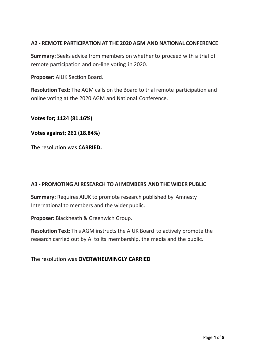#### **A2 - REMOTE PARTICIPATION AT THE 2020 AGM AND NATIONAL CONFERENCE**

**Summary:** Seeks advice from members on whether to proceed with a trial of remote participation and on-line voting in 2020.

**Proposer:** AIUK Section Board.

**Resolution Text:** The AGM calls on the Board to trial remote participation and online voting at the 2020 AGM and National Conference.

**Votes for; 1124 (81.16%)**

**Votes against; 261 (18.84%)**

The resolution was **CARRIED.** 

#### **A3 - PROMOTING AI RESEARCH TO AI MEMBERS AND THE WIDER PUBLIC**

**Summary:** Requires AIUK to promote research published by Amnesty International to members and the wider public.

**Proposer:** Blackheath & Greenwich Group.

**Resolution Text:** This AGM instructs the AIUK Board to actively promote the research carried out by AI to its membership, the media and the public.

The resolution was **OVERWHELMINGLY CARRIED**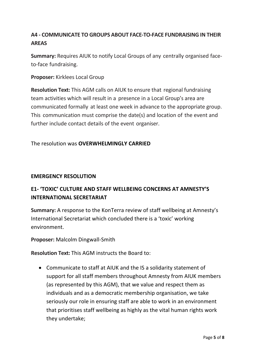#### **A4 - COMMUNICATE TO GROUPS ABOUT FACE-TO-FACE FUNDRAISING IN THEIR AREAS**

**Summary:** Requires AIUK to notify Local Groups of any centrally organised faceto-face fundraising.

**Proposer:** Kirklees Local Group

**Resolution Text:** This AGM calls on AIUK to ensure that regional fundraising team activities which will result in a presence in a Local Group's area are communicated formally at least one week in advance to the appropriate group. This communication must comprise the date(s) and location of the event and further include contact details of the event organiser.

#### The resolution was **OVERWHELMINGLY CARRIED**

#### **EMERGENCY RESOLUTION**

#### **E1- 'TOXIC' CULTURE AND STAFF WELLBEING CONCERNS AT AMNESTY'S INTERNATIONAL SECRETARIAT**

**Summary:** A response to the KonTerra review of staff wellbeing at Amnesty's International Secretariat which concluded there is a 'toxic' working environment.

**Proposer:** Malcolm Dingwall-Smith

**Resolution Text:** This AGM instructs the Board to:

• Communicate to staff at AIUK and the IS a solidarity statement of support for all staff members throughout Amnesty from AIUK members (as represented by this AGM), that we value and respect them as individuals and as a democratic membership organisation, we take seriously our role in ensuring staff are able to work in an environment that prioritises staff wellbeing as highly as the vital human rights work they undertake;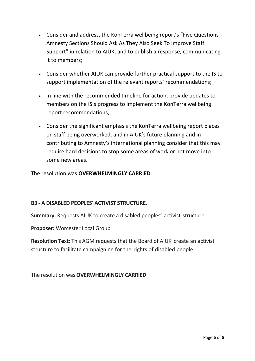- Consider and address, the KonTerra wellbeing report's "Five Questions Amnesty Sections Should Ask As They Also Seek To Improve Staff Support" in relation to AIUK, and to publish a response, communicating it to members;
- Consider whether AIUK can provide further practical support to the IS to support implementation of the relevant reports' recommendations;
- In line with the recommended timeline for action, provide updates to members on the IS's progress to implement the KonTerra wellbeing report recommendations;
- Consider the significant emphasis the KonTerra wellbeing report places on staff being overworked, and in AIUK's future planning and in contributing to Amnesty's international planning consider that this may require hard decisions to stop some areas of work or not move into some new areas.

The resolution was **OVERWHELMINGLY CARRIED**

#### **B3 - A DISABLED PEOPLES' ACTIVIST STRUCTURE.**

**Summary:** Requests AIUK to create a disabled peoples' activist structure.

**Proposer:** Worcester Local Group

**Resolution Text:** This AGM requests that the Board of AIUK create an activist structure to facilitate campaigning for the rights of disabled people.

The resolution was **OVERWHELMINGLY CARRIED**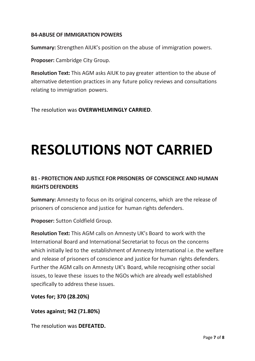#### **B4-ABUSE OF IMMIGRATION POWERS**

**Summary:** Strengthen AIUK's position on the abuse of immigration powers.

**Proposer:** Cambridge City Group.

**Resolution Text:** This AGM asks AIUK to pay greater attention to the abuse of alternative detention practices in any future policy reviews and consultations relating to immigration powers.

The resolution was **OVERWHELMINGLY CARRIED**.

## **RESOLUTIONS NOT CARRIED**

#### **B1 - PROTECTION AND JUSTICE FOR PRISONERS OF CONSCIENCE AND HUMAN RIGHTS DEFENDERS**

**Summary:** Amnesty to focus on its original concerns, which are the release of prisoners of conscience and justice for human rights defenders.

**Proposer:** Sutton Coldfield Group.

**Resolution Text:** This AGM calls on Amnesty UK's Board to work with the International Board and International Secretariat to focus on the concerns which initially led to the establishment of Amnesty International i.e. the welfare and release of prisoners of conscience and justice for human rights defenders. Further the AGM calls on Amnesty UK's Board, while recognising other social issues, to leave these issues to the NGOs which are already well established specifically to address these issues.

**Votes for; 370 (28.20%)**

**Votes against; 942 (71.80%)**

The resolution was **DEFEATED.**